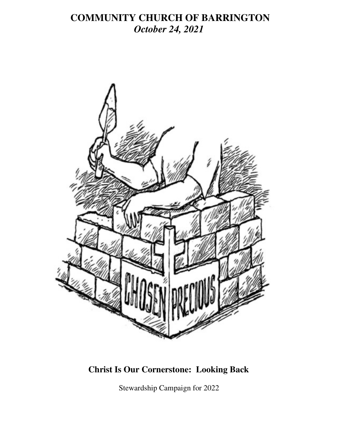# **COMMUNITY CHURCH OF BARRINGTON** *October 24, 2021*



# **Christ Is Our Cornerstone: Looking Back**

Stewardship Campaign for 2022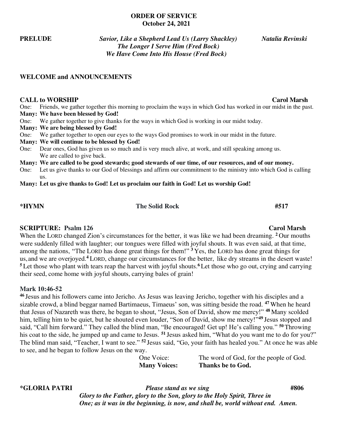### **ORDER OF SERVICE October 24, 2021**

# **PRELUDE** *Savior, Like a Shepherd Lead Us (Larry Shackley) Natalia Revinski The Longer I Serve Him (Fred Bock) We Have Come Into His House (Fred Bock)*

# **WELCOME and ANNOUNCEMENTS**

### **CALL to WORSHIP** CALL **CALL CALL CALL CALL CALL CALL CALL CALL CALL CALL CALL CALL**

One: Friends, we gather together this morning to proclaim the ways in which God has worked in our midst in the past. **Many: We have been blessed by God!**

- One: We gather together to give thanks for the ways in which God is working in our midst today.
- **Many: We are being blessed by God!**
- One: We gather together to open our eyes to the ways God promises to work in our midst in the future.
- **Many: We will continue to be blessed by God!**
- One: Dear ones, God has given us so much and is very much alive, at work, and still speaking among us. We are called to give back.
- **Many: We are called to be good stewards; good stewards of our time, of our resources, and of our money.**
- One: Let us give thanks to our God of blessings and affirm our commitment to the ministry into which God is calling us.

**Many: Let us give thanks to God! Let us proclaim our faith in God! Let us worship God!**

# **\*HYMN The Solid Rock #517**

# **SCRIPTURE:** Psalm 126 Carol Marsh **Carol Marsh Carol Marsh**

When the LORD changed Zion's circumstances for the better, it was like we had been dreaming. **<sup>2</sup>**Our mouths were suddenly filled with laughter; our tongues were filled with joyful shouts. It was even said, at that time, among the nations, "The LORD has done great things for them!" **<sup>3</sup>**Yes, the LORD has done great things for us,and we are overjoyed.**<sup>4</sup>**LORD, change our circumstances for the better, like dry streams in the desert waste! **<sup>5</sup>**Let those who plant with tears reap the harvest with joyful shouts.**<sup>6</sup>**Let those who go out, crying and carrying their seed, come home with joyful shouts, carrying bales of grain!

# **Mark 10:46-52**

**<sup>46</sup>**Jesus and his followers came into Jericho. As Jesus was leaving Jericho, together with his disciples and a sizable crowd, a blind beggar named Bartimaeus, Timaeus' son, was sitting beside the road. **<sup>47</sup>**When he heard that Jesus of Nazareth was there, he began to shout, "Jesus, Son of David, show me mercy!" **<sup>48</sup>**Many scolded him, telling him to be quiet, but he shouted even louder, "Son of David, show me mercy!"**<sup>49</sup>**Jesus stopped and said, "Call him forward." They called the blind man, "Be encouraged! Get up! He's calling you." **<sup>50</sup>**Throwing his coat to the side, he jumped up and came to Jesus. **<sup>51</sup>**Jesus asked him, "What do you want me to do for you?" The blind man said, "Teacher, I want to see." **<sup>52</sup>**Jesus said, "Go, your faith has healed you." At once he was able to see, and he began to follow Jesus on the way.

|  | <b>Many Voices:</b> | Thanks be to God.                       |
|--|---------------------|-----------------------------------------|
|  | One Voice:          | The word of God, for the people of God. |

**\*GLORIA PATRI** *Please stand as we sing* **#806** *Glory to the Father, glory to the Son, glory to the Holy Spirit, Three in One; as it was in the beginning, is now, and shall be, world without end. Amen.*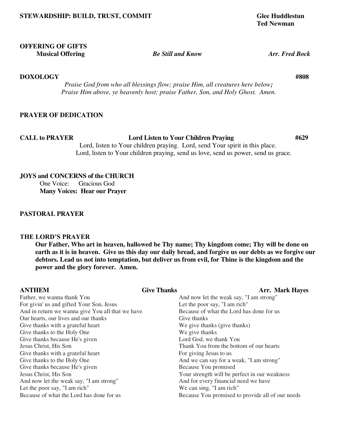**Ted Newman** 

# **OFFERING OF GIFTS Musical Offering** *Be Still and Know Arr. Fred Bock*

**DOXOLOGY****#808**

 *Praise God from who all blessings flow; praise Him, all creatures here below; Praise Him above, ye heavenly host; praise Father, Son, and Holy Ghost. Amen.* 

## **PRAYER OF DEDICATION**

**CALL to PRAYER Lord Listen to Your Children Praying #629** 

 Lord, listen to Your children praying. Lord, send Your spirit in this place. Lord, listen to Your children praying, send us love, send us power, send us grace.

**JOYS and CONCERNS of the CHURCH**  One Voice: Gracious God **Many Voices: Hear our Prayer** 

# **PASTORAL PRAYER**

### **THE LORD'S PRAYER**

**Our Father, Who art in heaven, hallowed be Thy name; Thy kingdom come; Thy will be done on earth as it is in heaven. Give us this day our daily bread, and forgive us our debts as we forgive our debtors. Lead us not into temptation, but deliver us from evil, for Thine is the kingdom and the power and the glory forever. Amen.** 

| <b>ANTHEM</b>                                    | <b>Give Thanks</b> | <b>Arr. Mark Hayes</b>                           |
|--------------------------------------------------|--------------------|--------------------------------------------------|
| Father, we wanna thank You                       |                    | And now let the weak say, "I am strong"          |
| For givin' us and gifted Your Son, Jesus         |                    | Let the poor say, "I am rich"                    |
| And in return we wanna give You all that we have |                    | Because of what the Lord has done for us         |
| Our hearts, our lives and our thanks             |                    | Give thanks                                      |
| Give thanks with a grateful heart                |                    | We give thanks (give thanks)                     |
| Give thanks to the Holy One                      |                    | We give thanks                                   |
| Give thanks because He's given                   |                    | Lord God, we thank You                           |
| Jesus Christ, His Son                            |                    | Thank You from the bottom of our hearts          |
| Give thanks with a grateful heart                |                    | For giving Jesus to us                           |
| Give thanks to the Holy One                      |                    | And we can say for a weak, "I am strong"         |
| Give thanks because He's given                   |                    | Because You promised                             |
| Jesus Christ, His Son                            |                    | Your strength will be perfect in our weakness    |
| And now let the weak say, "I am strong"          |                    | And for every financial need we have             |
| Let the poor say, "I am rich"                    |                    | We can sing, "I am rich"                         |
| Because of what the Lord has done for us         |                    | Because You promised to provide all of our needs |